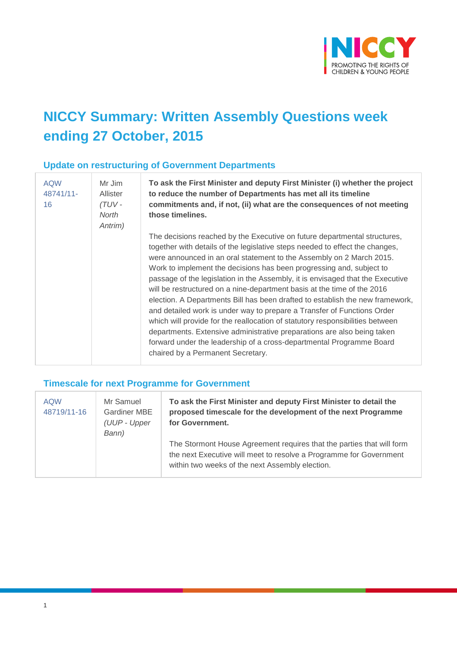

# **NICCY Summary: Written Assembly Questions week ending 27 October, 2015**

#### **Update on restructuring of Government Departments**

| <b>AQW</b><br>48741/11-<br>16 | Mr Jim<br><b>Allister</b><br>$(TUV -$<br>North<br>Antrim) | To ask the First Minister and deputy First Minister (i) whether the project<br>to reduce the number of Departments has met all its timeline<br>commitments and, if not, (ii) what are the consequences of not meeting<br>those timelines.                                                                                                                                                                                                                                                                                                                                                                                                                                                                                                                                                                                                                                                                   |
|-------------------------------|-----------------------------------------------------------|-------------------------------------------------------------------------------------------------------------------------------------------------------------------------------------------------------------------------------------------------------------------------------------------------------------------------------------------------------------------------------------------------------------------------------------------------------------------------------------------------------------------------------------------------------------------------------------------------------------------------------------------------------------------------------------------------------------------------------------------------------------------------------------------------------------------------------------------------------------------------------------------------------------|
|                               |                                                           | The decisions reached by the Executive on future departmental structures,<br>together with details of the legislative steps needed to effect the changes,<br>were announced in an oral statement to the Assembly on 2 March 2015.<br>Work to implement the decisions has been progressing and, subject to<br>passage of the legislation in the Assembly, it is envisaged that the Executive<br>will be restructured on a nine-department basis at the time of the 2016<br>election. A Departments Bill has been drafted to establish the new framework,<br>and detailed work is under way to prepare a Transfer of Functions Order<br>which will provide for the reallocation of statutory responsibilities between<br>departments. Extensive administrative preparations are also being taken<br>forward under the leadership of a cross-departmental Programme Board<br>chaired by a Permanent Secretary. |

#### **Timescale for next Programme for Government**

| <b>AQW</b><br>48719/11-16 | Mr Samuel<br><b>Gardiner MBE</b><br>(UUP - Upper<br>Bann) | To ask the First Minister and deputy First Minister to detail the<br>proposed timescale for the development of the next Programme<br>for Government.                                           |
|---------------------------|-----------------------------------------------------------|------------------------------------------------------------------------------------------------------------------------------------------------------------------------------------------------|
|                           |                                                           | The Stormont House Agreement requires that the parties that will form<br>the next Executive will meet to resolve a Programme for Government<br>within two weeks of the next Assembly election. |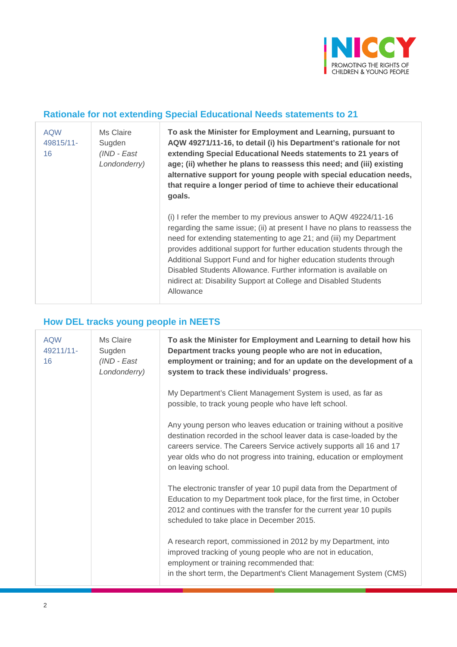

### **Rationale for not extending Special Educational Needs statements to 21**

| <b>AQW</b><br>49815/11-<br>16 | Ms Claire<br>Sugden<br>(IND - East<br>Londonderry) | To ask the Minister for Employment and Learning, pursuant to<br>AQW 49271/11-16, to detail (i) his Department's rationale for not<br>extending Special Educational Needs statements to 21 years of<br>age; (ii) whether he plans to reassess this need; and (iii) existing<br>alternative support for young people with special education needs,<br>that require a longer period of time to achieve their educational<br>goals.                                                                                        |
|-------------------------------|----------------------------------------------------|------------------------------------------------------------------------------------------------------------------------------------------------------------------------------------------------------------------------------------------------------------------------------------------------------------------------------------------------------------------------------------------------------------------------------------------------------------------------------------------------------------------------|
|                               |                                                    | (i) I refer the member to my previous answer to AQW 49224/11-16<br>regarding the same issue; (ii) at present I have no plans to reassess the<br>need for extending statementing to age 21; and (iii) my Department<br>provides additional support for further education students through the<br>Additional Support Fund and for higher education students through<br>Disabled Students Allowance. Further information is available on<br>nidirect at: Disability Support at College and Disabled Students<br>Allowance |

### **How DEL tracks young people in NEETS**

| <b>AQW</b><br>49211/11-<br>16 | Ms Claire<br>Sugden<br>(IND - East<br>Londonderry) | To ask the Minister for Employment and Learning to detail how his<br>Department tracks young people who are not in education,<br>employment or training; and for an update on the development of a<br>system to track these individuals' progress.                                                                 |
|-------------------------------|----------------------------------------------------|--------------------------------------------------------------------------------------------------------------------------------------------------------------------------------------------------------------------------------------------------------------------------------------------------------------------|
|                               |                                                    | My Department's Client Management System is used, as far as<br>possible, to track young people who have left school.                                                                                                                                                                                               |
|                               |                                                    | Any young person who leaves education or training without a positive<br>destination recorded in the school leaver data is case-loaded by the<br>careers service. The Careers Service actively supports all 16 and 17<br>year olds who do not progress into training, education or employment<br>on leaving school. |
|                               |                                                    | The electronic transfer of year 10 pupil data from the Department of<br>Education to my Department took place, for the first time, in October<br>2012 and continues with the transfer for the current year 10 pupils<br>scheduled to take place in December 2015.                                                  |
|                               |                                                    | A research report, commissioned in 2012 by my Department, into<br>improved tracking of young people who are not in education,<br>employment or training recommended that:<br>in the short term, the Department's Client Management System (CMS)                                                                    |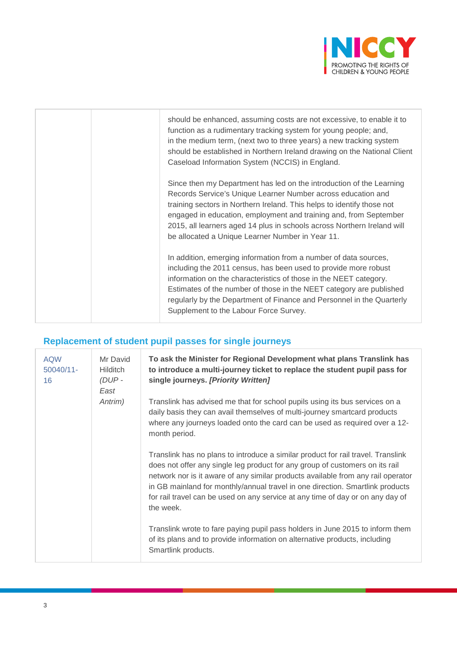

| should be enhanced, assuming costs are not excessive, to enable it to<br>function as a rudimentary tracking system for young people; and,<br>in the medium term, (next two to three years) a new tracking system<br>should be established in Northern Ireland drawing on the National Client<br>Caseload Information System (NCCIS) in England.                                                                    |
|--------------------------------------------------------------------------------------------------------------------------------------------------------------------------------------------------------------------------------------------------------------------------------------------------------------------------------------------------------------------------------------------------------------------|
| Since then my Department has led on the introduction of the Learning<br>Records Service's Unique Learner Number across education and<br>training sectors in Northern Ireland. This helps to identify those not<br>engaged in education, employment and training and, from September<br>2015, all learners aged 14 plus in schools across Northern Ireland will<br>be allocated a Unique Learner Number in Year 11. |
| In addition, emerging information from a number of data sources,<br>including the 2011 census, has been used to provide more robust<br>information on the characteristics of those in the NEET category.<br>Estimates of the number of those in the NEET category are published<br>regularly by the Department of Finance and Personnel in the Quarterly<br>Supplement to the Labour Force Survey.                 |

## **Replacement of student pupil passes for single journeys**

| <b>AQW</b><br>$50040/11$ -<br>16 | Mr David<br><b>Hilditch</b><br>(DUP-<br>East<br>Antrim) | To ask the Minister for Regional Development what plans Translink has<br>to introduce a multi-journey ticket to replace the student pupil pass for<br>single journeys. [Priority Written]                                                                                                                                                                                                                                            |
|----------------------------------|---------------------------------------------------------|--------------------------------------------------------------------------------------------------------------------------------------------------------------------------------------------------------------------------------------------------------------------------------------------------------------------------------------------------------------------------------------------------------------------------------------|
|                                  |                                                         | Translink has advised me that for school pupils using its bus services on a<br>daily basis they can avail themselves of multi-journey smartcard products<br>where any journeys loaded onto the card can be used as required over a 12-<br>month period.                                                                                                                                                                              |
|                                  |                                                         | Translink has no plans to introduce a similar product for rail travel. Translink<br>does not offer any single leg product for any group of customers on its rail<br>network nor is it aware of any similar products available from any rail operator<br>in GB mainland for monthly/annual travel in one direction. Smartlink products<br>for rail travel can be used on any service at any time of day or on any day of<br>the week. |
|                                  |                                                         | Translink wrote to fare paying pupil pass holders in June 2015 to inform them<br>of its plans and to provide information on alternative products, including<br>Smartlink products.                                                                                                                                                                                                                                                   |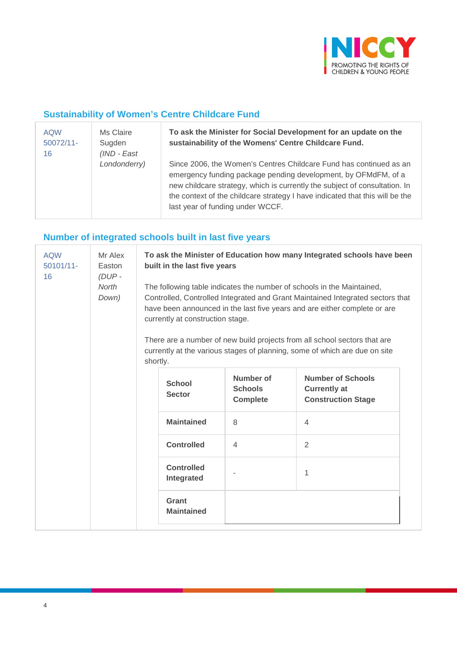

### **Sustainability of Women's Centre Childcare Fund**

| <b>AQW</b><br>$50072/11$ -<br>16 | Ms Claire<br>Sugden<br>$(IND - East)$ | To ask the Minister for Social Development for an update on the<br>sustainability of the Womens' Centre Childcare Fund.                                                                                                                                                                                                                |
|----------------------------------|---------------------------------------|----------------------------------------------------------------------------------------------------------------------------------------------------------------------------------------------------------------------------------------------------------------------------------------------------------------------------------------|
|                                  | Londonderry)                          | Since 2006, the Women's Centres Childcare Fund has continued as an<br>emergency funding package pending development, by OFMdFM, of a<br>new childcare strategy, which is currently the subject of consultation. In<br>the context of the childcare strategy I have indicated that this will be the<br>last year of funding under WCCF. |

## **Number of integrated schools built in last five years**

| <b>AQW</b><br>$50101/11 -$<br>16 | Mr Alex<br>Easton<br>$(DUP -$<br>North<br>Down) |                                                                                                                                                                                                                                                                                                                                                                                                                                      | To ask the Minister of Education how many Integrated schools have been<br>built in the last five years |                                                |                                                                              |  |
|----------------------------------|-------------------------------------------------|--------------------------------------------------------------------------------------------------------------------------------------------------------------------------------------------------------------------------------------------------------------------------------------------------------------------------------------------------------------------------------------------------------------------------------------|--------------------------------------------------------------------------------------------------------|------------------------------------------------|------------------------------------------------------------------------------|--|
|                                  |                                                 | The following table indicates the number of schools in the Maintained,<br>Controlled, Controlled Integrated and Grant Maintained Integrated sectors that<br>have been announced in the last five years and are either complete or are<br>currently at construction stage.<br>There are a number of new build projects from all school sectors that are<br>currently at the various stages of planning, some of which are due on site |                                                                                                        |                                                |                                                                              |  |
|                                  |                                                 | shortly.                                                                                                                                                                                                                                                                                                                                                                                                                             |                                                                                                        |                                                |                                                                              |  |
|                                  |                                                 |                                                                                                                                                                                                                                                                                                                                                                                                                                      | <b>School</b><br><b>Sector</b>                                                                         | Number of<br><b>Schools</b><br><b>Complete</b> | <b>Number of Schools</b><br><b>Currently at</b><br><b>Construction Stage</b> |  |
|                                  |                                                 |                                                                                                                                                                                                                                                                                                                                                                                                                                      | <b>Maintained</b>                                                                                      | 8                                              | $\overline{4}$                                                               |  |
|                                  |                                                 |                                                                                                                                                                                                                                                                                                                                                                                                                                      | <b>Controlled</b>                                                                                      | $\overline{4}$                                 | $\overline{2}$                                                               |  |
|                                  |                                                 |                                                                                                                                                                                                                                                                                                                                                                                                                                      | <b>Controlled</b><br>Integrated                                                                        |                                                | 1                                                                            |  |
|                                  |                                                 |                                                                                                                                                                                                                                                                                                                                                                                                                                      | Grant<br><b>Maintained</b>                                                                             |                                                |                                                                              |  |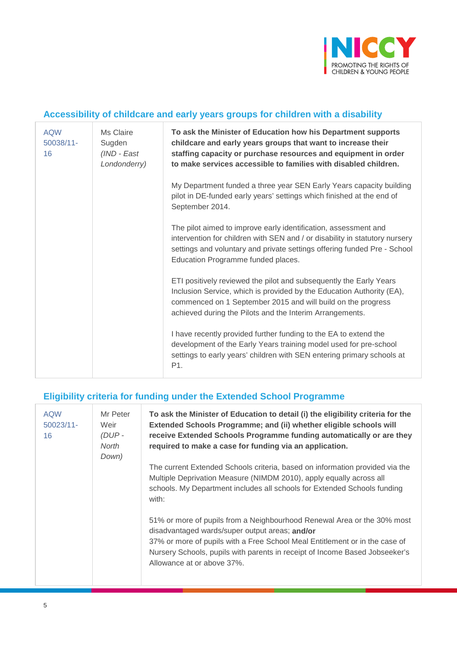

### **Accessibility of childcare and early years groups for children with a disability**

| <b>AQW</b><br>50038/11-<br>16 | Ms Claire<br>Sugden<br>(IND - East<br>Londonderry) | To ask the Minister of Education how his Department supports<br>childcare and early years groups that want to increase their<br>staffing capacity or purchase resources and equipment in order<br>to make services accessible to families with disabled children.       |
|-------------------------------|----------------------------------------------------|-------------------------------------------------------------------------------------------------------------------------------------------------------------------------------------------------------------------------------------------------------------------------|
|                               |                                                    | My Department funded a three year SEN Early Years capacity building<br>pilot in DE-funded early years' settings which finished at the end of<br>September 2014.                                                                                                         |
|                               |                                                    | The pilot aimed to improve early identification, assessment and<br>intervention for children with SEN and / or disability in statutory nursery<br>settings and voluntary and private settings offering funded Pre - School<br>Education Programme funded places.        |
|                               |                                                    | ETI positively reviewed the pilot and subsequently the Early Years<br>Inclusion Service, which is provided by the Education Authority (EA),<br>commenced on 1 September 2015 and will build on the progress<br>achieved during the Pilots and the Interim Arrangements. |
|                               |                                                    | I have recently provided further funding to the EA to extend the<br>development of the Early Years training model used for pre-school<br>settings to early years' children with SEN entering primary schools at<br>P1.                                                  |

### **Eligibility criteria for funding under the Extended School Programme**

| <b>AQW</b><br>$50023/11$ -<br>16 | Mr Peter<br>Weir<br>$(DUP -$<br>North<br>Down) | To ask the Minister of Education to detail (i) the eligibility criteria for the<br>Extended Schools Programme; and (ii) whether eligible schools will<br>receive Extended Schools Programme funding automatically or are they<br>required to make a case for funding via an application.                              |
|----------------------------------|------------------------------------------------|-----------------------------------------------------------------------------------------------------------------------------------------------------------------------------------------------------------------------------------------------------------------------------------------------------------------------|
|                                  |                                                | The current Extended Schools criteria, based on information provided via the<br>Multiple Deprivation Measure (NIMDM 2010), apply equally across all<br>schools. My Department includes all schools for Extended Schools funding<br>with:                                                                              |
|                                  |                                                | 51% or more of pupils from a Neighbourhood Renewal Area or the 30% most<br>disadvantaged wards/super output areas; and/or<br>37% or more of pupils with a Free School Meal Entitlement or in the case of<br>Nursery Schools, pupils with parents in receipt of Income Based Jobseeker's<br>Allowance at or above 37%. |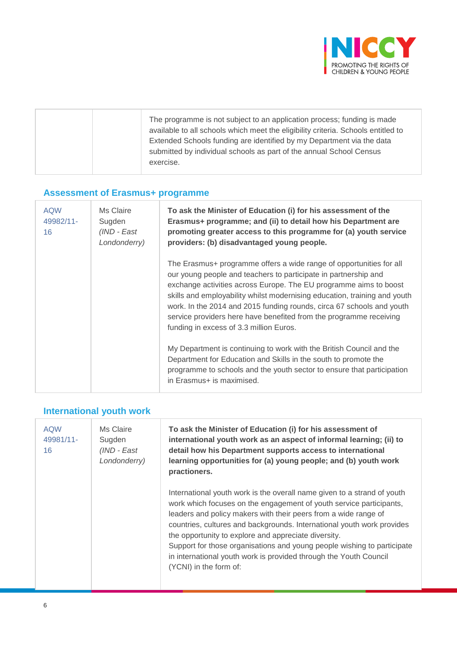

|  | The programme is not subject to an application process; funding is made<br>available to all schools which meet the eligibility criteria. Schools entitled to<br>Extended Schools funding are identified by my Department via the data<br>submitted by individual schools as part of the annual School Census<br>exercise. |
|--|---------------------------------------------------------------------------------------------------------------------------------------------------------------------------------------------------------------------------------------------------------------------------------------------------------------------------|
|--|---------------------------------------------------------------------------------------------------------------------------------------------------------------------------------------------------------------------------------------------------------------------------------------------------------------------------|

### **Assessment of Erasmus+ programme**

| <b>AQW</b><br>49982/11-<br>16 | Ms Claire<br>Sugden<br>(IND - East<br>Londonderry) | To ask the Minister of Education (i) for his assessment of the<br>Erasmus+ programme; and (ii) to detail how his Department are<br>promoting greater access to this programme for (a) youth service<br>providers: (b) disadvantaged young people.                                                                                                                                                                                                                                  |
|-------------------------------|----------------------------------------------------|------------------------------------------------------------------------------------------------------------------------------------------------------------------------------------------------------------------------------------------------------------------------------------------------------------------------------------------------------------------------------------------------------------------------------------------------------------------------------------|
|                               |                                                    | The Erasmus+ programme offers a wide range of opportunities for all<br>our young people and teachers to participate in partnership and<br>exchange activities across Europe. The EU programme aims to boost<br>skills and employability whilst modernising education, training and youth<br>work. In the 2014 and 2015 funding rounds, circa 67 schools and youth<br>service providers here have benefited from the programme receiving<br>funding in excess of 3.3 million Euros. |
|                               |                                                    | My Department is continuing to work with the British Council and the<br>Department for Education and Skills in the south to promote the<br>programme to schools and the youth sector to ensure that participation<br>in Erasmus+ is maximised.                                                                                                                                                                                                                                     |

## **International youth work**

| <b>AQW</b><br>49981/11-<br>16 | Ms Claire<br>Sugden<br>(IND - East<br>Londonderry) | To ask the Minister of Education (i) for his assessment of<br>international youth work as an aspect of informal learning; (ii) to<br>detail how his Department supports access to international<br>learning opportunities for (a) young people; and (b) youth work<br>practioners.                                                                                                                                                                                                                                            |
|-------------------------------|----------------------------------------------------|-------------------------------------------------------------------------------------------------------------------------------------------------------------------------------------------------------------------------------------------------------------------------------------------------------------------------------------------------------------------------------------------------------------------------------------------------------------------------------------------------------------------------------|
|                               |                                                    | International youth work is the overall name given to a strand of youth<br>work which focuses on the engagement of youth service participants,<br>leaders and policy makers with their peers from a wide range of<br>countries, cultures and backgrounds. International youth work provides<br>the opportunity to explore and appreciate diversity.<br>Support for those organisations and young people wishing to participate<br>in international youth work is provided through the Youth Council<br>(YCNI) in the form of: |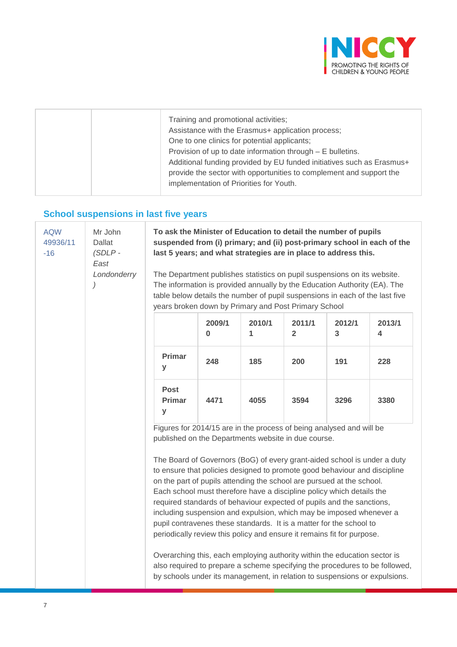

| Training and promotional activities;<br>Assistance with the Erasmus+ application process;<br>One to one clinics for potential applicants;                                                                                                               |
|---------------------------------------------------------------------------------------------------------------------------------------------------------------------------------------------------------------------------------------------------------|
| Provision of up to date information through $- E$ bulletins.<br>Additional funding provided by EU funded initiatives such as Erasmus+<br>provide the sector with opportunities to complement and support the<br>implementation of Priorities for Youth. |

## **School suspensions in last five years**

| <b>AQW</b><br>49936/11<br>$-16$ | Mr John<br><b>Dallat</b><br>$(SDLP -$<br>East<br>Londonderry | To ask the Minister of Education to detail the number of pupils<br>last 5 years; and what strategies are in place to address this.<br>The Department publishes statistics on pupil suspensions on its website.<br>The information is provided annually by the Education Authority (EA). The<br>table below details the number of pupil suspensions in each of the last five<br>years broken down by Primary and Post Primary School                                                                                                                                                                                                                                                                                                                                                                                                                                                                |             |             |                          |             | suspended from (i) primary; and (ii) post-primary school in each of the     |
|---------------------------------|--------------------------------------------------------------|----------------------------------------------------------------------------------------------------------------------------------------------------------------------------------------------------------------------------------------------------------------------------------------------------------------------------------------------------------------------------------------------------------------------------------------------------------------------------------------------------------------------------------------------------------------------------------------------------------------------------------------------------------------------------------------------------------------------------------------------------------------------------------------------------------------------------------------------------------------------------------------------------|-------------|-------------|--------------------------|-------------|-----------------------------------------------------------------------------|
|                                 |                                                              |                                                                                                                                                                                                                                                                                                                                                                                                                                                                                                                                                                                                                                                                                                                                                                                                                                                                                                    | 2009/1<br>0 | 2010/1<br>1 | 2011/1<br>$\overline{2}$ | 2012/1<br>3 | 2013/1<br>4                                                                 |
|                                 |                                                              | <b>Primar</b><br>У                                                                                                                                                                                                                                                                                                                                                                                                                                                                                                                                                                                                                                                                                                                                                                                                                                                                                 | 248         | 185         | 200                      | 191         | 228                                                                         |
|                                 |                                                              | <b>Post</b><br><b>Primar</b><br>y                                                                                                                                                                                                                                                                                                                                                                                                                                                                                                                                                                                                                                                                                                                                                                                                                                                                  | 4471        | 4055        | 3594                     | 3296        | 3380                                                                        |
|                                 |                                                              | Figures for 2014/15 are in the process of being analysed and will be<br>published on the Departments website in due course.<br>The Board of Governors (BoG) of every grant-aided school is under a duty<br>to ensure that policies designed to promote good behaviour and discipline<br>on the part of pupils attending the school are pursued at the school.<br>Each school must therefore have a discipline policy which details the<br>required standards of behaviour expected of pupils and the sanctions,<br>including suspension and expulsion, which may be imposed whenever a<br>pupil contravenes these standards. It is a matter for the school to<br>periodically review this policy and ensure it remains fit for purpose.<br>Overarching this, each employing authority within the education sector is<br>by schools under its management, in relation to suspensions or expulsions. |             |             |                          |             | also required to prepare a scheme specifying the procedures to be followed, |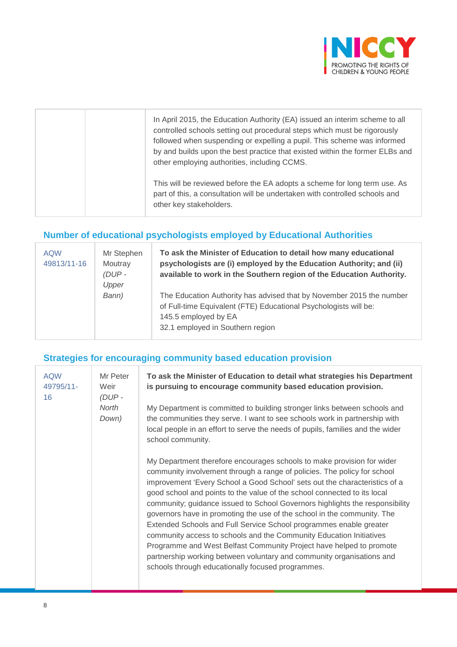

| In April 2015, the Education Authority (EA) issued an interim scheme to all<br>controlled schools setting out procedural steps which must be rigorously<br>followed when suspending or expelling a pupil. This scheme was informed<br>by and builds upon the best practice that existed within the former ELBs and<br>other employing authorities, including CCMS. |
|--------------------------------------------------------------------------------------------------------------------------------------------------------------------------------------------------------------------------------------------------------------------------------------------------------------------------------------------------------------------|
| This will be reviewed before the EA adopts a scheme for long term use. As<br>part of this, a consultation will be undertaken with controlled schools and<br>other key stakeholders.                                                                                                                                                                                |

## **Number of educational psychologists employed by Educational Authorities**

| <b>AQW</b><br>49813/11-16 | Mr Stephen<br>Moutray<br>$(DUP -$<br>Upper | To ask the Minister of Education to detail how many educational<br>psychologists are (i) employed by the Education Authority; and (ii)<br>available to work in the Southern region of the Education Authority. |
|---------------------------|--------------------------------------------|----------------------------------------------------------------------------------------------------------------------------------------------------------------------------------------------------------------|
|                           | Bann)                                      | The Education Authority has advised that by November 2015 the number<br>of Full-time Equivalent (FTE) Educational Psychologists will be:<br>145.5 employed by EA<br>32.1 employed in Southern region           |

#### **Strategies for encouraging community based education provision**

| <b>AQW</b><br>49795/11-<br>16 | Mr Peter<br>Weir<br>$(DUP -$<br>North | To ask the Minister of Education to detail what strategies his Department<br>is pursuing to encourage community based education provision.<br>My Department is committed to building stronger links between schools and                                                                                                                                                                                                                                                                                                                                                                                                                                                                                                                                                                                                   |
|-------------------------------|---------------------------------------|---------------------------------------------------------------------------------------------------------------------------------------------------------------------------------------------------------------------------------------------------------------------------------------------------------------------------------------------------------------------------------------------------------------------------------------------------------------------------------------------------------------------------------------------------------------------------------------------------------------------------------------------------------------------------------------------------------------------------------------------------------------------------------------------------------------------------|
|                               | Down)                                 | the communities they serve. I want to see schools work in partnership with<br>local people in an effort to serve the needs of pupils, families and the wider<br>school community.                                                                                                                                                                                                                                                                                                                                                                                                                                                                                                                                                                                                                                         |
|                               |                                       | My Department therefore encourages schools to make provision for wider<br>community involvement through a range of policies. The policy for school<br>improvement 'Every School a Good School' sets out the characteristics of a<br>good school and points to the value of the school connected to its local<br>community; guidance issued to School Governors highlights the responsibility<br>governors have in promoting the use of the school in the community. The<br>Extended Schools and Full Service School programmes enable greater<br>community access to schools and the Community Education Initiatives<br>Programme and West Belfast Community Project have helped to promote<br>partnership working between voluntary and community organisations and<br>schools through educationally focused programmes. |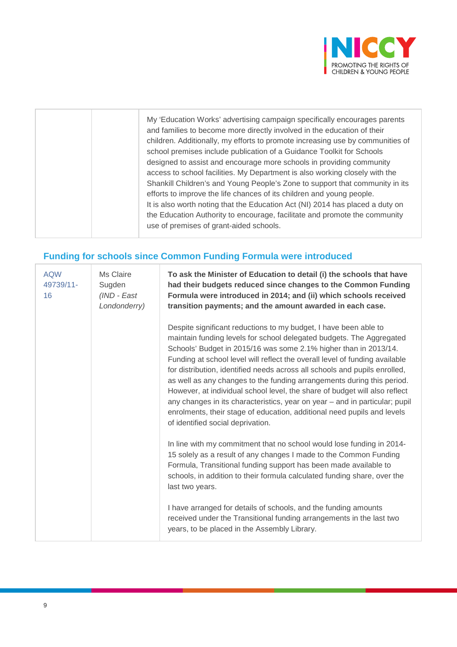

## **Funding for schools since Common Funding Formula were introduced**

| <b>AQW</b><br>49739/11-<br>16 | Ms Claire<br>Sugden<br>(IND - East<br>Londonderry) | To ask the Minister of Education to detail (i) the schools that have<br>had their budgets reduced since changes to the Common Funding<br>Formula were introduced in 2014; and (ii) which schools received<br>transition payments; and the amount awarded in each case.                                                                                                                                                                                                                                                                                                                                                                                                                                                           |
|-------------------------------|----------------------------------------------------|----------------------------------------------------------------------------------------------------------------------------------------------------------------------------------------------------------------------------------------------------------------------------------------------------------------------------------------------------------------------------------------------------------------------------------------------------------------------------------------------------------------------------------------------------------------------------------------------------------------------------------------------------------------------------------------------------------------------------------|
|                               |                                                    | Despite significant reductions to my budget, I have been able to<br>maintain funding levels for school delegated budgets. The Aggregated<br>Schools' Budget in 2015/16 was some 2.1% higher than in 2013/14.<br>Funding at school level will reflect the overall level of funding available<br>for distribution, identified needs across all schools and pupils enrolled,<br>as well as any changes to the funding arrangements during this period.<br>However, at individual school level, the share of budget will also reflect<br>any changes in its characteristics, year on year - and in particular; pupil<br>enrolments, their stage of education, additional need pupils and levels<br>of identified social deprivation. |
|                               |                                                    | In line with my commitment that no school would lose funding in 2014-<br>15 solely as a result of any changes I made to the Common Funding<br>Formula, Transitional funding support has been made available to<br>schools, in addition to their formula calculated funding share, over the<br>last two years.                                                                                                                                                                                                                                                                                                                                                                                                                    |
|                               |                                                    | I have arranged for details of schools, and the funding amounts<br>received under the Transitional funding arrangements in the last two<br>years, to be placed in the Assembly Library.                                                                                                                                                                                                                                                                                                                                                                                                                                                                                                                                          |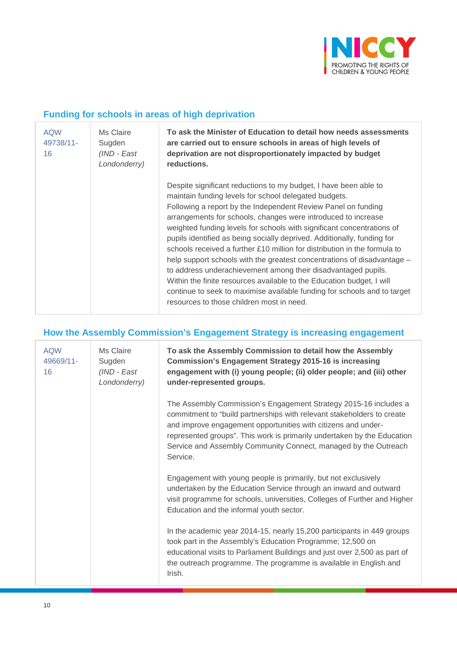

#### **Funding for schools in areas of high deprivation**

| <b>AQW</b><br>49738/11-<br>16 | Ms Claire<br>Sugden<br>(IND - East<br>Londonderry) | To ask the Minister of Education to detail how needs assessments<br>are carried out to ensure schools in areas of high levels of<br>deprivation are not disproportionately impacted by budget<br>reductions.                                                                                                                                                                                                                                                                                                                                                                                                                                                                                                                                                                                                                                  |
|-------------------------------|----------------------------------------------------|-----------------------------------------------------------------------------------------------------------------------------------------------------------------------------------------------------------------------------------------------------------------------------------------------------------------------------------------------------------------------------------------------------------------------------------------------------------------------------------------------------------------------------------------------------------------------------------------------------------------------------------------------------------------------------------------------------------------------------------------------------------------------------------------------------------------------------------------------|
|                               |                                                    | Despite significant reductions to my budget, I have been able to<br>maintain funding levels for school delegated budgets.<br>Following a report by the Independent Review Panel on funding<br>arrangements for schools, changes were introduced to increase<br>weighted funding levels for schools with significant concentrations of<br>pupils identified as being socially deprived. Additionally, funding for<br>schools received a further $£10$ million for distribution in the formula to<br>help support schools with the greatest concentrations of disadvantage -<br>to address underachievement among their disadvantaged pupils.<br>Within the finite resources available to the Education budget, I will<br>continue to seek to maximise available funding for schools and to target<br>resources to those children most in need. |

#### **How the Assembly Commission's Engagement Strategy is increasing engagement**

| <b>AQW</b><br>49669/11-<br>16 | Ms Claire<br>Sugden<br>(IND - East<br>Londonderry) | To ask the Assembly Commission to detail how the Assembly<br><b>Commission's Engagement Strategy 2015-16 is increasing</b><br>engagement with (i) young people; (ii) older people; and (iii) other<br>under-represented groups.                                                                                                                                       |
|-------------------------------|----------------------------------------------------|-----------------------------------------------------------------------------------------------------------------------------------------------------------------------------------------------------------------------------------------------------------------------------------------------------------------------------------------------------------------------|
|                               |                                                    | The Assembly Commission's Engagement Strategy 2015-16 includes a<br>commitment to "build partnerships with relevant stakeholders to create<br>and improve engagement opportunities with citizens and under-<br>represented groups". This work is primarily undertaken by the Education<br>Service and Assembly Community Connect, managed by the Outreach<br>Service. |
|                               |                                                    | Engagement with young people is primarily, but not exclusively<br>undertaken by the Education Service through an inward and outward<br>visit programme for schools, universities, Colleges of Further and Higher<br>Education and the informal youth sector.                                                                                                          |
|                               |                                                    | In the academic year 2014-15, nearly 15,200 participants in 449 groups<br>took part in the Assembly's Education Programme; 12,500 on<br>educational visits to Parliament Buildings and just over 2,500 as part of<br>the outreach programme. The programme is available in English and<br>Irish.                                                                      |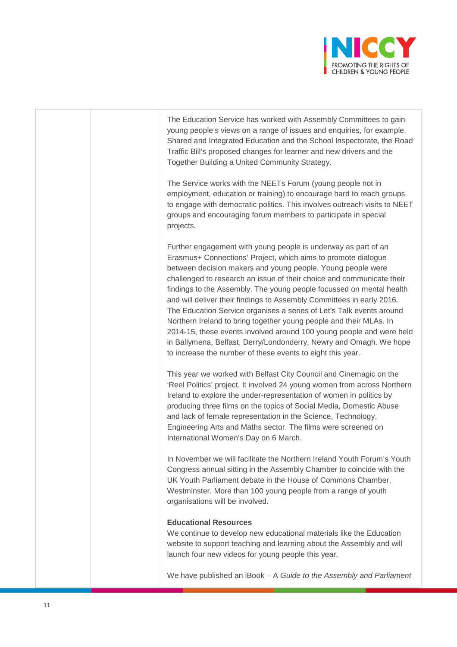

The Education Service has worked with Assembly Committees to gain young people's views on a range of issues and enquiries, for example, Shared and Integrated Education and the School Inspectorate, the Road Traffic Bill's proposed changes for learner and new drivers and the Together Building a United Community Strategy.

The Service works with the NEETs Forum (young people not in employment, education or training) to encourage hard to reach groups to engage with democratic politics. This involves outreach visits to NEET groups and encouraging forum members to participate in special projects.

Further engagement with young people is underway as part of an Erasmus+ Connections' Project, which aims to promote dialogue between decision makers and young people. Young people were challenged to research an issue of their choice and communicate their findings to the Assembly. The young people focussed on mental health and will deliver their findings to Assembly Committees in early 2016. The Education Service organises a series of Let's Talk events around Northern Ireland to bring together young people and their MLAs. In 2014-15, these events involved around 100 young people and were held in Ballymena, Belfast, Derry/Londonderry, Newry and Omagh. We hope to increase the number of these events to eight this year.

This year we worked with Belfast City Council and Cinemagic on the 'Reel Politics' project. It involved 24 young women from across Northern Ireland to explore the under-representation of women in politics by producing three films on the topics of Social Media, Domestic Abuse and lack of female representation in the Science, Technology, Engineering Arts and Maths sector. The films were screened on International Women's Day on 6 March.

In November we will facilitate the Northern Ireland Youth Forum's Youth Congress annual sitting in the Assembly Chamber to coincide with the UK Youth Parliament debate in the House of Commons Chamber, Westminster. More than 100 young people from a range of youth organisations will be involved.

#### **Educational Resources**

We continue to develop new educational materials like the Education website to support teaching and learning about the Assembly and will launch four new videos for young people this year.

We have published an iBook – A *Guide to the Assembly and Parliament*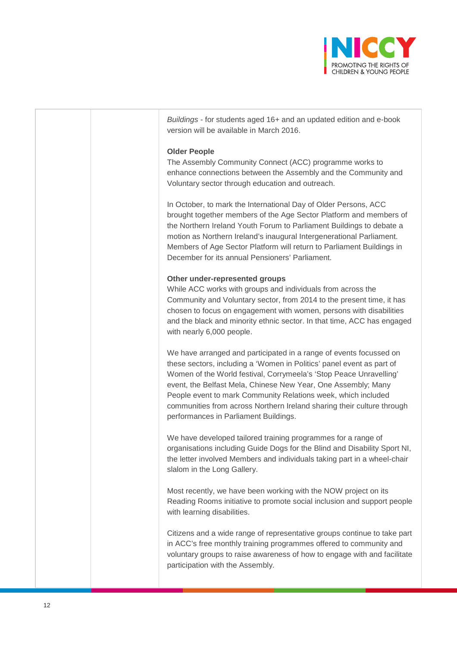

| Buildings - for students aged 16+ and an updated edition and e-book<br>version will be available in March 2016.                                                                                                                                                                                                                                                                                                                                                        |
|------------------------------------------------------------------------------------------------------------------------------------------------------------------------------------------------------------------------------------------------------------------------------------------------------------------------------------------------------------------------------------------------------------------------------------------------------------------------|
| <b>Older People</b><br>The Assembly Community Connect (ACC) programme works to<br>enhance connections between the Assembly and the Community and<br>Voluntary sector through education and outreach.                                                                                                                                                                                                                                                                   |
| In October, to mark the International Day of Older Persons, ACC<br>brought together members of the Age Sector Platform and members of<br>the Northern Ireland Youth Forum to Parliament Buildings to debate a<br>motion as Northern Ireland's inaugural Intergenerational Parliament.<br>Members of Age Sector Platform will return to Parliament Buildings in<br>December for its annual Pensioners' Parliament.                                                      |
| Other under-represented groups<br>While ACC works with groups and individuals from across the<br>Community and Voluntary sector, from 2014 to the present time, it has<br>chosen to focus on engagement with women, persons with disabilities<br>and the black and minority ethnic sector. In that time, ACC has engaged<br>with nearly 6,000 people.                                                                                                                  |
| We have arranged and participated in a range of events focussed on<br>these sectors, including a 'Women in Politics' panel event as part of<br>Women of the World festival, Corrymeela's 'Stop Peace Unravelling'<br>event, the Belfast Mela, Chinese New Year, One Assembly; Many<br>People event to mark Community Relations week, which included<br>communities from across Northern Ireland sharing their culture through<br>performances in Parliament Buildings. |
| We have developed tailored training programmes for a range of<br>organisations including Guide Dogs for the Blind and Disability Sport NI,<br>the letter involved Members and individuals taking part in a wheel-chair<br>slalom in the Long Gallery.                                                                                                                                                                                                                  |
| Most recently, we have been working with the NOW project on its<br>Reading Rooms initiative to promote social inclusion and support people<br>with learning disabilities.                                                                                                                                                                                                                                                                                              |
| Citizens and a wide range of representative groups continue to take part<br>in ACC's free monthly training programmes offered to community and<br>voluntary groups to raise awareness of how to engage with and facilitate<br>participation with the Assembly.                                                                                                                                                                                                         |